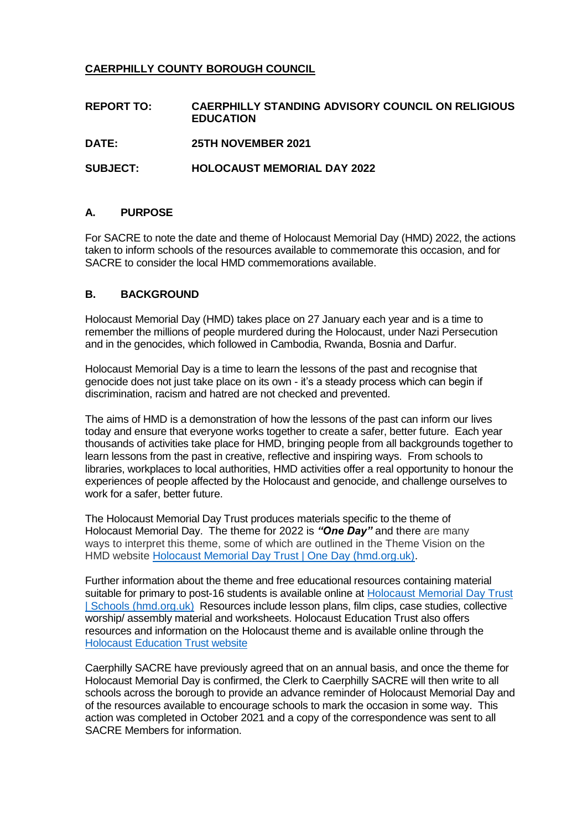## **CAERPHILLY COUNTY BOROUGH COUNCIL**

| <b>REPORT TO:</b> | CAERPHILLY STANDING ADVISORY COUNCIL ON RELIGIOUS<br><b>EDUCATION</b> |
|-------------------|-----------------------------------------------------------------------|
| <b>DATE:</b>      | <b>25TH NOVEMBER 2021</b>                                             |
| <b>SUBJECT:</b>   | <b>HOLOCAUST MEMORIAL DAY 2022</b>                                    |

## **A. PURPOSE**

For SACRE to note the date and theme of Holocaust Memorial Day (HMD) 2022, the actions taken to inform schools of the resources available to commemorate this occasion, and for SACRE to consider the local HMD commemorations available.

## **B. BACKGROUND**

Holocaust Memorial Day (HMD) takes place on 27 January each year and is a time to remember the millions of people murdered during the Holocaust, under Nazi Persecution and in the genocides, which followed in Cambodia, Rwanda, Bosnia and Darfur.

Holocaust Memorial Day is a time to learn the lessons of the past and recognise that genocide does not just take place on its own - it's a steady process which can begin if discrimination, racism and hatred are not checked and prevented.

The aims of HMD is a demonstration of how the lessons of the past can inform our lives today and ensure that everyone works together to create a safer, better future. Each year thousands of activities take place for HMD, bringing people from all backgrounds together to learn lessons from the past in creative, reflective and inspiring ways. From schools to libraries, workplaces to local authorities, HMD activities offer a real opportunity to honour the experiences of people affected by the Holocaust and genocide, and challenge ourselves to work for a safer, better future.

The Holocaust Memorial Day Trust produces materials specific to the theme of Holocaust Memorial Day. The theme for 2022 is *"One Day"* and there are many ways to interpret this theme, some of which are outlined in the Theme Vision on the HMD website [Holocaust Memorial Day Trust | One Day \(hmd.org.uk\).](https://www.hmd.org.uk/what-is-holocaust-memorial-day/this-years-theme/)

Further information about the theme and free educational resources containing material suitable for primary to post-16 students is available online at [Holocaust Memorial Day Trust](https://www.hmd.org.uk/take-part-in-holocaust-memorial-day/schools/)  [| Schools \(hmd.org.uk\)](https://www.hmd.org.uk/take-part-in-holocaust-memorial-day/schools/)Resources include lesson plans, film clips, case studies, collective worship/ assembly material and worksheets. Holocaust Education Trust also offers resources and information on the Holocaust theme and is available online through the [Holocaust Education Trust website](https://www.het.org.uk/)

Caerphilly SACRE have previously agreed that on an annual basis, and once the theme for Holocaust Memorial Day is confirmed, the Clerk to Caerphilly SACRE will then write to all schools across the borough to provide an advance reminder of Holocaust Memorial Day and of the resources available to encourage schools to mark the occasion in some way. This action was completed in October 2021 and a copy of the correspondence was sent to all SACRE Members for information.